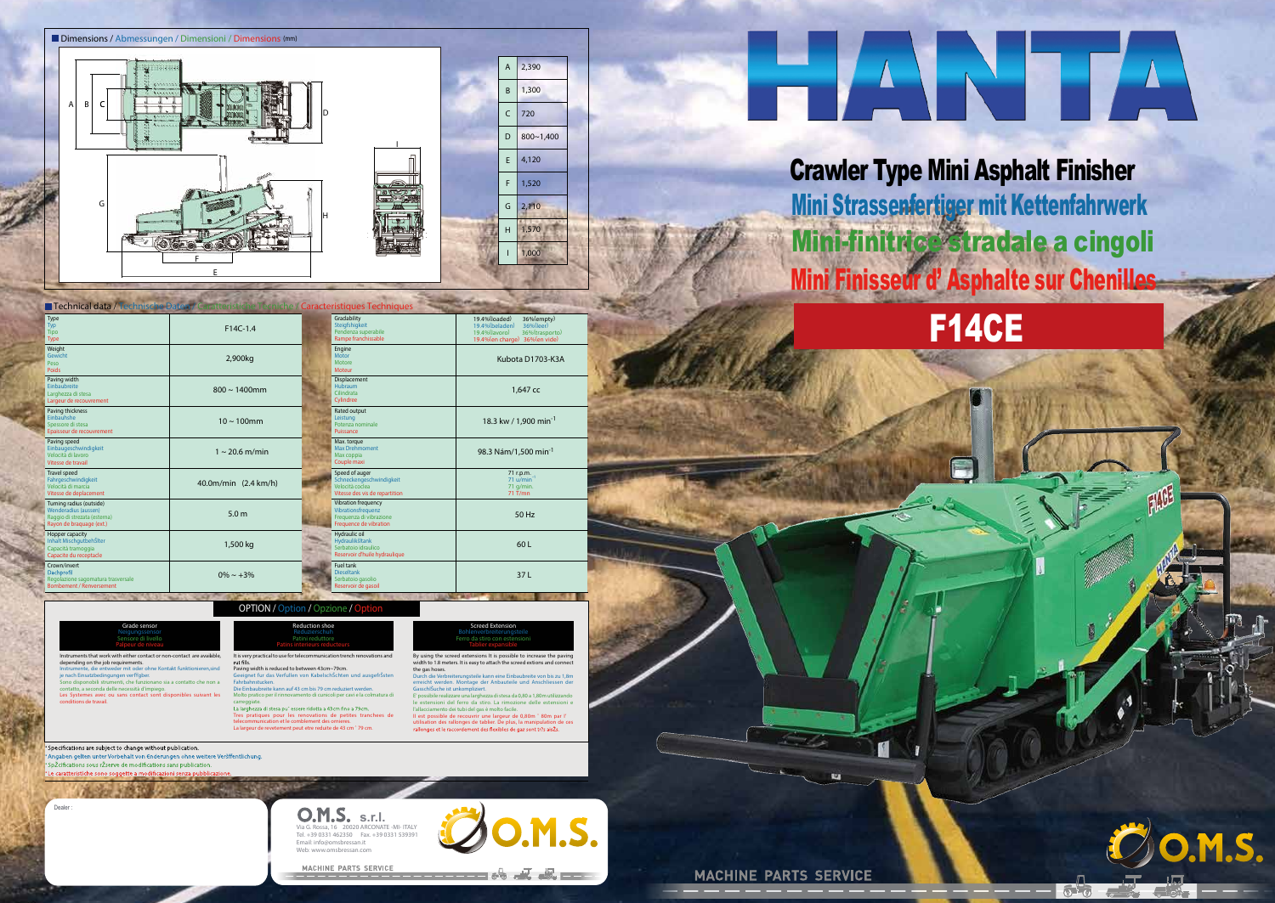F14CE



It is very practical to use for telecommunication trench renovations and d to between 43cm~79cm. ullen von KabelschŠchten und ausgefrŠstei auf 43 cm bis 79 cm reduziert werden. nto di cunicoli per cavi e la colr

ere ridotta a 43cm fino a 79cm Tres pratiques pour les renovations de petites tranchees de telecommunication et le comblement des ornieres. La largeur de revetement peut etre reduite de 43 cm ˆ 79 cm. By using the screed extensions It is possible to increase the paving width to 1.8 meters. It is easy to attach the screed extions and connect the gas hoses.<br>Durch die Verbre terungsteile kann eine Einbaubreite von bis zu 1,8m er<br>tage der Anbauteile und Anschliessen der

| Grade sensor                                                                                                                                                                                                                                                                                                                                                                                                                                      | Reduction shoe                                                                                                                                                                                                                                                                                                                                                                  |
|---------------------------------------------------------------------------------------------------------------------------------------------------------------------------------------------------------------------------------------------------------------------------------------------------------------------------------------------------------------------------------------------------------------------------------------------------|---------------------------------------------------------------------------------------------------------------------------------------------------------------------------------------------------------------------------------------------------------------------------------------------------------------------------------------------------------------------------------|
| Neigungssensor                                                                                                                                                                                                                                                                                                                                                                                                                                    | Reduzierschuh                                                                                                                                                                                                                                                                                                                                                                   |
| Sensore di livello                                                                                                                                                                                                                                                                                                                                                                                                                                | Patini reduttore                                                                                                                                                                                                                                                                                                                                                                |
| Palpeur de niveau                                                                                                                                                                                                                                                                                                                                                                                                                                 | Patins interieurs reducteurs                                                                                                                                                                                                                                                                                                                                                    |
| Instruments that work with either contact or non-contact are avaiable.<br>depending on the job requirements.<br>Instrumente, die entweder mit oder ohne Kontakt funktionieren, sind<br>je nach Einsatzbedingungen verf aber.<br>Sono disponobili strumenti, che funzionano sia a contatto che non a<br>contatto, a seconda delle necessità d'impiego.<br>Les Systemes avec ou sans contact sont disponibles suivant les<br>conditions de travail. | It is very practical to use for telecommunication tren<br>rut fills.<br>Paving width is reduced to between 43cm~79cm.<br>Geeignet fur das Verfullen von KabelschSchten<br>Fahrbahnstucken.<br>Die Einbaubreite kann auf 43 cm bis 79 cm reduzie<br>Molto pratico per il rinnovamento di cunicoli per ca<br>carreggiate.<br>La larghezza di stesa pu" essere ridotta a 43cm fino |

Specifications are subject to change without publication.  $|\cdot|$ igaben gelten unter Vorbehalt von €nderungen ohne weitere Veršffentlichun Žcifications sous rŽse  $|\cdot|$ ・

Dealer

Mini Strassenfertiger mit Kettenfahrwerk Mini Finisseur d' Asphalte sur Chenilles Crawler Type Mini Asphalt Finisher Mini-finitrice stradale a cingoli



**O.M.S. s.r.l.** Via G. Rossa, 16 20020 ARCONATE -MI- ITALY Tel. +39 0331 462350 Fax. +39 0331 539391 Email: info@omsbressan.it Web: www.omsbressan.com

MACHINE PARTS SERVICE

**MACHINE PARTS SERVICE** 

Ø





|                                                                                                              | <b>Technical data / Technische Daten / Caratteristiche Tecniche / Caracteristiques Techniques</b> |                                                                                                 |                                                                                                                                   |
|--------------------------------------------------------------------------------------------------------------|---------------------------------------------------------------------------------------------------|-------------------------------------------------------------------------------------------------|-----------------------------------------------------------------------------------------------------------------------------------|
| Type<br>Typ<br>Tipo<br>Type                                                                                  | $F14C-1.4$                                                                                        | Gradability<br>Steigfshigkeit<br>Pendenza superabile<br>Rampe franchissable                     | 19.4%(loaded)<br>36%(empty)<br>19.4%(beladen)<br>36%(leer)<br>36%(trasporto)<br>19.4% (lavoro)<br>19.4% (en charge) 36% (en vide) |
| Weight<br>Gewicht<br>Peso<br><b>Poids</b>                                                                    | 2,900kg                                                                                           | Engine<br>Motor<br>Motore<br>Moteur                                                             | Kubota D1703-K3A                                                                                                                  |
| Paving width<br>Einbaubreite<br>Larghezza di stesa<br>Largeur de recouvrement                                | $800 \sim 1400$ mm                                                                                | Displacement<br><b>Hubraum</b><br>Cilindrata<br>Cylindree                                       | 1.647 cc                                                                                                                          |
| Paving thickness<br>Einbauhshe<br>Spessore di stesa<br>Epaisseur de recouvrement                             | $10 \sim 100$ mm                                                                                  | Rated output<br>Leistung<br>Potenza nominale<br>Puissance                                       | 18.3 kw / 1,900 min <sup>-1</sup>                                                                                                 |
| Paving speed<br>Einbaugeschwindigkeit<br>Velocità di lavoro<br>Vitesse de travail                            | $1 \sim 20.6$ m/min                                                                               | Max. torque<br><b>Max Drehmoment</b><br>Max coppia<br>Couple maxi                               | 98.3 Nám/1,500 min <sup>-1</sup>                                                                                                  |
| <b>Travel speed</b><br>Fahrgeschwindigkeit<br>Velocità di marcia<br>Vitesse de deplacement                   | 40.0m/min (2.4 km/h)                                                                              | Speed of auger<br>Schneckengeschwindigkeit<br>Velocità coclea<br>Vitesse des vis de repartition | 71 r.p.m.<br>71 u/min<br>71 g/min.<br>$71$ T/mn                                                                                   |
| Turning radius (outside)<br>Wenderadius (aussen)<br>Raggio di strezata (esterna)<br>Rayon de braquage (ext.) | 5.0 <sub>m</sub>                                                                                  | Vibration frequency<br>Vibrationsfrequenz<br>Frequenza di vibrazione<br>Frequence de vibration  | 50 Hz                                                                                                                             |
| Hopper capacity<br>Inhalt Mischqutbeh Slter<br>Capacità tramoggia<br>Capacite du receptacle                  | 1,500 kg                                                                                          | Hydraulic oil<br>Hydraulikšltank<br>Serbatoio idraulico<br>Reservoir d'huile hydraulique        | 60L                                                                                                                               |
| Crown/invert<br>Dachprofil<br>Regolazione sagomatura trasversale<br><b>Bombement / Renversement</b>          | $0\% \sim +3\%$                                                                                   | Fuel tank<br><b>Dieseltank</b><br>Serbatoio gasolio<br>Reservoir de gasoil                      | 37L<br><b>COLOR MANAGERS AND IN</b>                                                                                               |

GasschlŠuche ist unkompliziert. E' possibile realizzare una larghezza distesa da 0,80 a 1,80m utilizzando estensioni del ferro da stiro. La rim l'allacciamento dei tubi del gas è molto facile. II est possible de recouvrir une largeur de 0,80m ˆ 80m par I' utilisation des rallonges de tablier. De plus, la manipulation de ces

**Screed Extension Bohlenverbreiterungsteile Ferro da stiro con estensioni Tablier expansible**

**OPTION / Option / Opzione / Option**